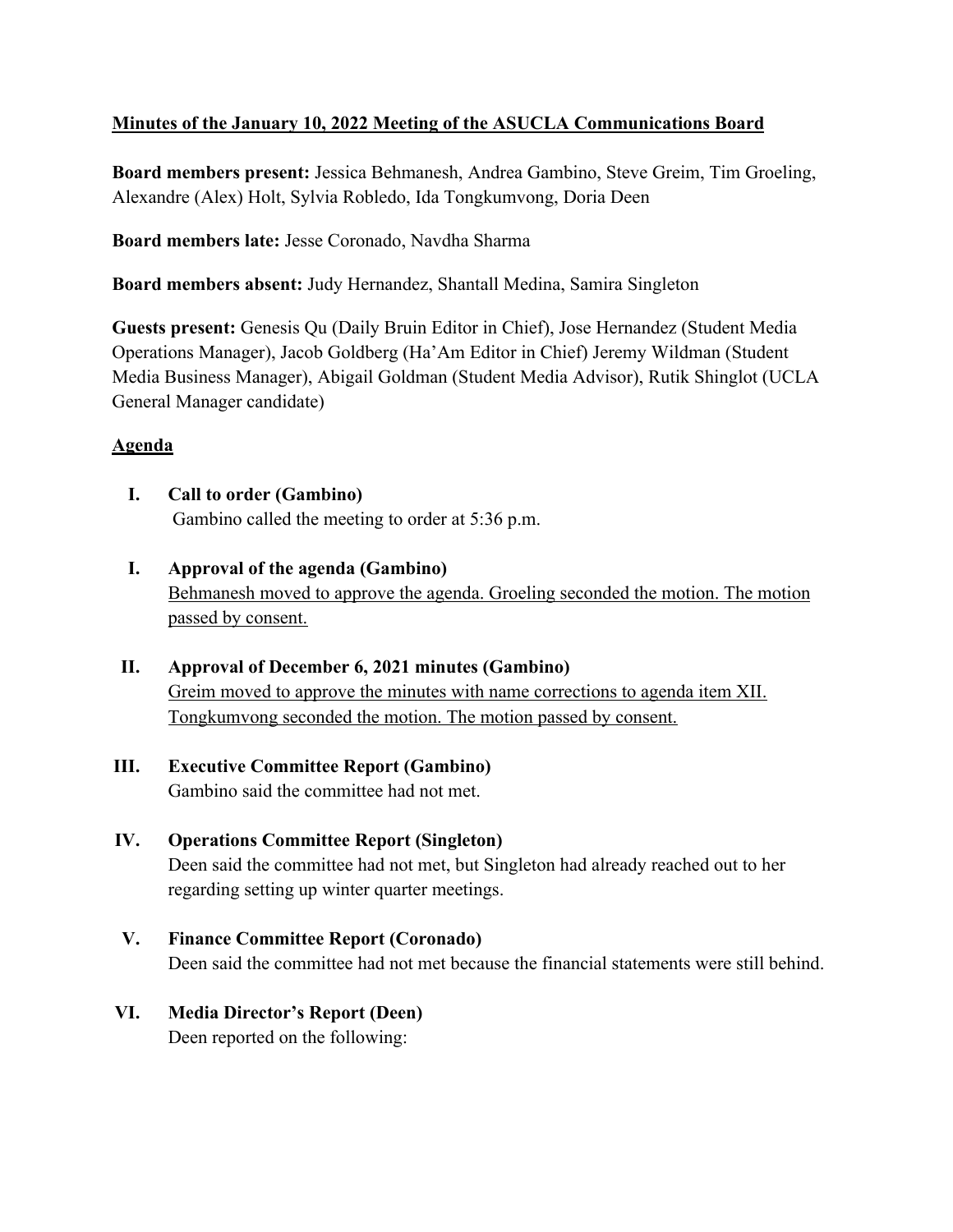# **Minutes of the January 10, 2022 Meeting of the ASUCLA Communications Board**

**Board members present:** Jessica Behmanesh, Andrea Gambino, Steve Greim, Tim Groeling, Alexandre (Alex) Holt, Sylvia Robledo, Ida Tongkumvong, Doria Deen

**Board members late:** Jesse Coronado, Navdha Sharma

**Board members absent:** Judy Hernandez, Shantall Medina, Samira Singleton

**Guests present:** Genesis Qu (Daily Bruin Editor in Chief), Jose Hernandez (Student Media Operations Manager), Jacob Goldberg (Ha'Am Editor in Chief) Jeremy Wildman (Student Media Business Manager), Abigail Goldman (Student Media Advisor), Rutik Shinglot (UCLA General Manager candidate)

#### **Agenda**

- **I. Call to order (Gambino)** Gambino called the meeting to order at 5:36 p.m.
- **I. Approval of the agenda (Gambino)** Behmanesh moved to approve the agenda. Groeling seconded the motion. The motion passed by consent.
- **II. Approval of December 6, 2021 minutes (Gambino)** Greim moved to approve the minutes with name corrections to agenda item XII. Tongkumvong seconded the motion. The motion passed by consent.
- **III. Executive Committee Report (Gambino)** Gambino said the committee had not met.
- **IV. Operations Committee Report (Singleton)** Deen said the committee had not met, but Singleton had already reached out to her regarding setting up winter quarter meetings.
- **V. Finance Committee Report (Coronado)** Deen said the committee had not met because the financial statements were still behind.
- **VI. Media Director's Report (Deen)** Deen reported on the following: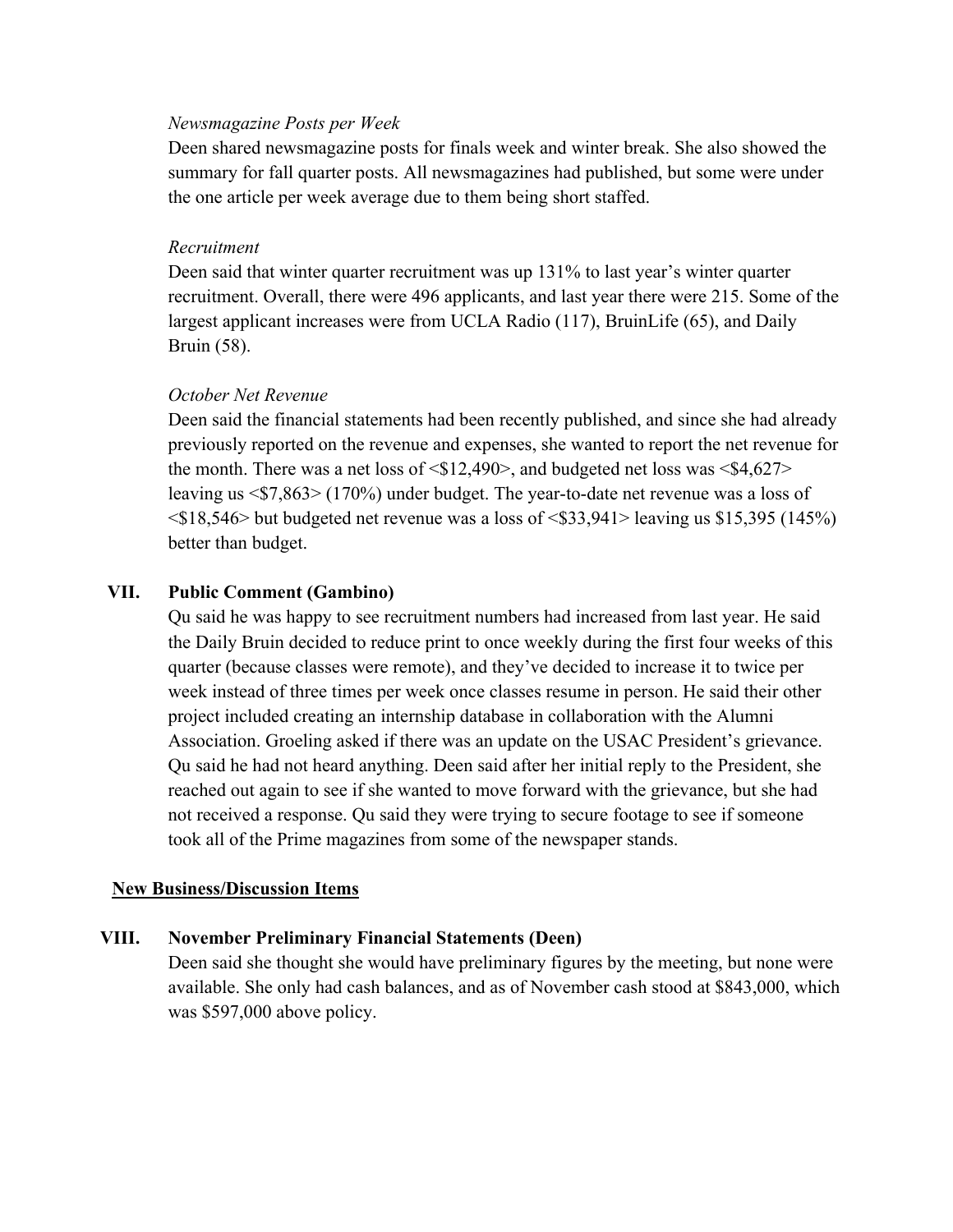#### *Newsmagazine Posts per Week*

Deen shared newsmagazine posts for finals week and winter break. She also showed the summary for fall quarter posts. All newsmagazines had published, but some were under the one article per week average due to them being short staffed.

#### *Recruitment*

Deen said that winter quarter recruitment was up 131% to last year's winter quarter recruitment. Overall, there were 496 applicants, and last year there were 215. Some of the largest applicant increases were from UCLA Radio (117), BruinLife (65), and Daily Bruin (58).

#### *October Net Revenue*

Deen said the financial statements had been recently published, and since she had already previously reported on the revenue and expenses, she wanted to report the net revenue for the month. There was a net loss of  $\langle $12,490 \rangle$ , and budgeted net loss was  $\langle $4,627 \rangle$ leaving us <\$7,863> (170%) under budget. The year-to-date net revenue was a loss of  $\langle$ \$18,546> but budgeted net revenue was a loss of  $\langle$ \$33,941> leaving us \$15,395 (145%) better than budget.

#### **VII. Public Comment (Gambino)**

Qu said he was happy to see recruitment numbers had increased from last year. He said the Daily Bruin decided to reduce print to once weekly during the first four weeks of this quarter (because classes were remote), and they've decided to increase it to twice per week instead of three times per week once classes resume in person. He said their other project included creating an internship database in collaboration with the Alumni Association. Groeling asked if there was an update on the USAC President's grievance. Qu said he had not heard anything. Deen said after her initial reply to the President, she reached out again to see if she wanted to move forward with the grievance, but she had not received a response. Qu said they were trying to secure footage to see if someone took all of the Prime magazines from some of the newspaper stands.

#### **New Business/Discussion Items**

## **VIII. November Preliminary Financial Statements (Deen)**

Deen said she thought she would have preliminary figures by the meeting, but none were available. She only had cash balances, and as of November cash stood at \$843,000, which was \$597,000 above policy.